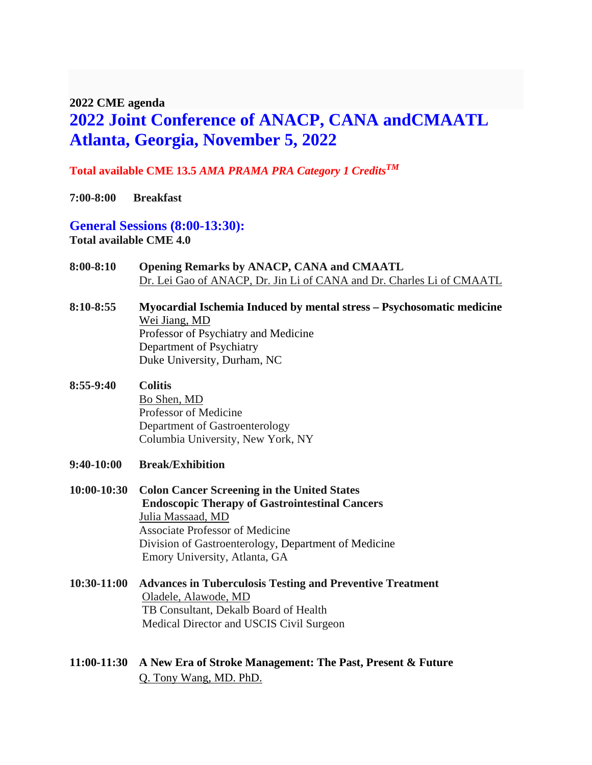#### **2022 CME agenda**

# **2022 Joint Conference of ANACP, CANA andCMAATL Atlanta, Georgia, November 5, 2022**

### **Total available CME 13.5** *AMA PRAMA PRA Category 1 CreditsTM*

**7:00-8:00 Breakfast** 

**General Sessions (8:00-13:30): Total available CME 4.0**

- **8:00-8:10 Opening Remarks by ANACP, CANA and CMAATL**  Dr. Lei Gao of ANACP, Dr. Jin Li of CANA and Dr. Charles Li of CMAATL
- **8:10-8:55 Myocardial Ischemia Induced by mental stress – Psychosomatic medicine** Wei Jiang, MD Professor of Psychiatry and Medicine Department of Psychiatry Duke University, Durham, NC
- **8:55-9:40 Colitis** Bo Shen, MD Professor of Medicine Department of Gastroenterology Columbia University, New York, NY
- **9:40-10:00 Break/Exhibition**
- **10:00-10:30 Colon Cancer Screening in the United States Endoscopic Therapy of Gastrointestinal Cancers**  Julia Massaad, MD Associate Professor of Medicine Division of Gastroenterology, Department of Medicine Emory University, Atlanta, GA
- **10:30-11:00 Advances in Tuberculosis Testing and Preventive Treatment** Oladele, Alawode, MD TB Consultant, Dekalb Board of Health Medical Director and USCIS Civil Surgeon
- **11:00-11:30 A New Era of Stroke Management: The Past, Present & Future** Q. Tony Wang, MD. PhD.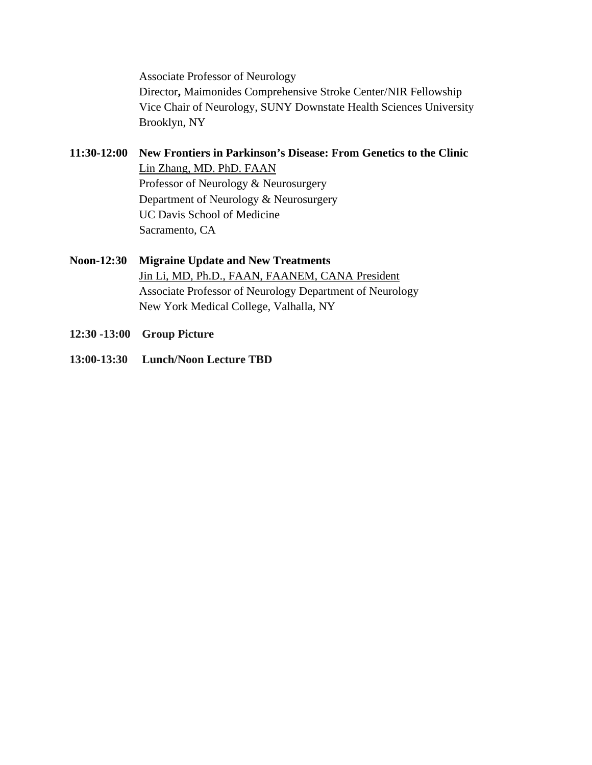Associate Professor of Neurology Director**,** Maimonides Comprehensive Stroke Center/NIR Fellowship Vice Chair of Neurology, SUNY Downstate Health Sciences University Brooklyn, NY

- **11:30-12:00 New Frontiers in Parkinson's Disease: From Genetics to the Clinic** Lin Zhang, MD. PhD. FAAN Professor of Neurology & Neurosurgery Department of Neurology & Neurosurgery UC Davis School of Medicine Sacramento, CA
- **Noon-12:30 Migraine Update and New Treatments** Jin Li, MD, Ph.D., FAAN, FAANEM, CANA President Associate Professor of Neurology Department of Neurology New York Medical College, Valhalla, NY
- **12:30 -13:00 Group Picture**
- **13:00-13:30 Lunch/Noon Lecture TBD**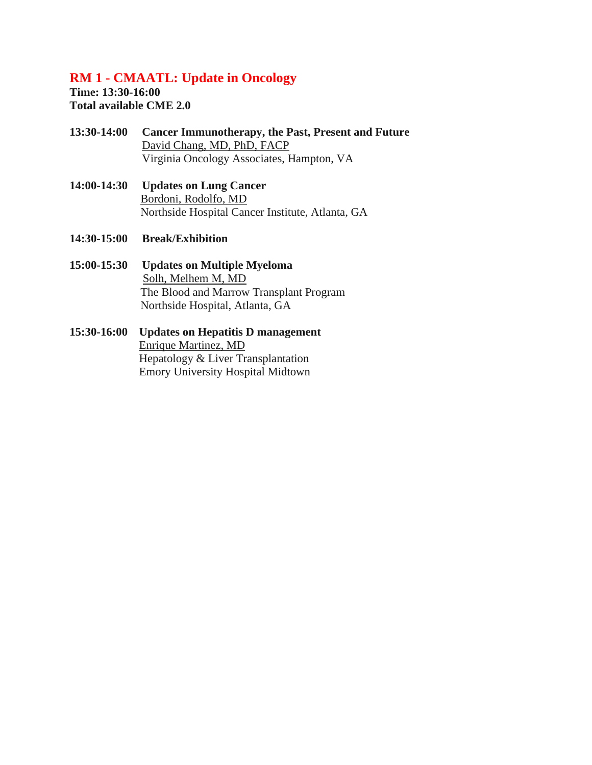## **RM 1 - CMAATL: Update in Oncology**

**Time: 13:30-16:00 Total available CME 2.0** 

- **13:30-14:00 Cancer Immunotherapy, the Past, Present and Future** David Chang, MD, PhD, FACP Virginia Oncology Associates, Hampton, VA
- **14:00-14:30 Updates on Lung Cancer** Bordoni, Rodolfo, MD Northside Hospital Cancer Institute, Atlanta, GA
- **14:30-15:00 Break/Exhibition**
- **15:00-15:30 Updates on Multiple Myeloma** Solh, Melhem M, MD The Blood and Marrow Transplant Program Northside Hospital, Atlanta, GA
- **15:30-16:00 Updates on Hepatitis D management** Enrique Martinez, MD Hepatology & Liver Transplantation Emory University Hospital Midtown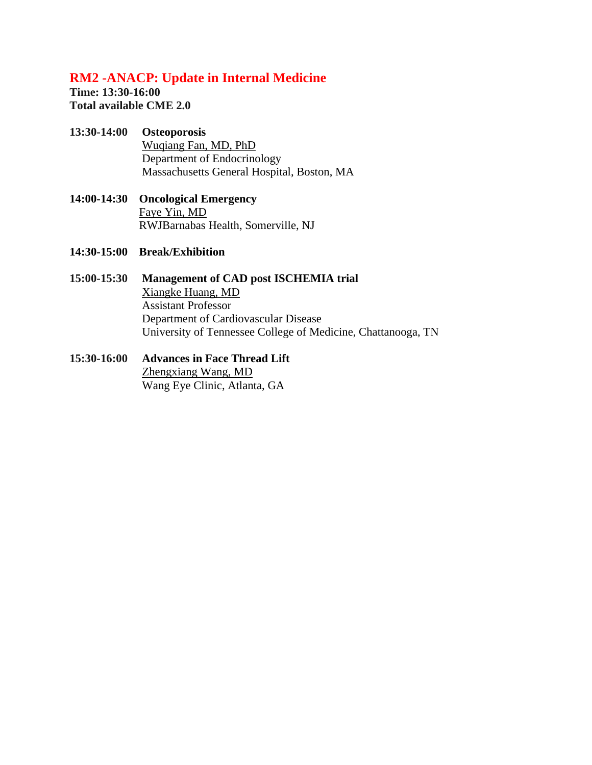## **RM2 -ANACP: Update in Internal Medicine**

**Time: 13:30-16:00 Total available CME 2.0** 

#### **13:30-14:00 Osteoporosis**

 Wuqiang Fan, MD, PhD Department of Endocrinology Massachusetts General Hospital, Boston, MA

- **14:00-14:30 Oncological Emergency** Faye Yin, MD RWJBarnabas Health, Somerville, NJ
- **14:30-15:00 Break/Exhibition**
- **15:00-15:30 Management of CAD post ISCHEMIA trial** Xiangke Huang, MD Assistant Professor Department of Cardiovascular Disease University of Tennessee College of Medicine, Chattanooga, TN
- **15:30-16:00 Advances in Face Thread Lift**  Zhengxiang Wang, MD Wang Eye Clinic, Atlanta, GA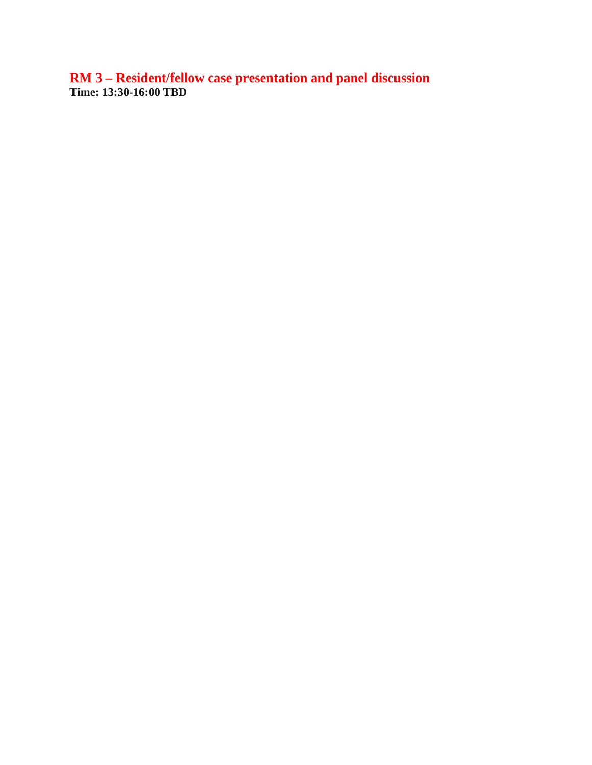**RM 3 – Resident/fellow case presentation and panel discussion Time: 13:30-16:00 TBD**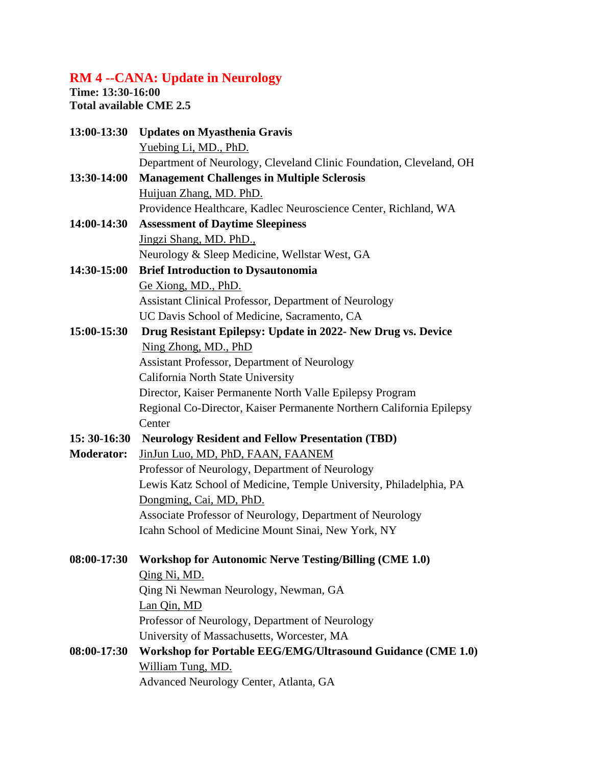# **RM 4 --CANA: Update in Neurology**

**Time: 13:30-16:00 Total available CME 2.5**

| 13:00-13:30       | <b>Updates on Myasthenia Gravis</b>                                  |
|-------------------|----------------------------------------------------------------------|
|                   | Yuebing Li, MD., PhD.                                                |
|                   | Department of Neurology, Cleveland Clinic Foundation, Cleveland, OH  |
| 13:30-14:00       | <b>Management Challenges in Multiple Sclerosis</b>                   |
|                   | Huijuan Zhang, MD. PhD.                                              |
|                   | Providence Healthcare, Kadlec Neuroscience Center, Richland, WA      |
| 14:00-14:30       | <b>Assessment of Daytime Sleepiness</b>                              |
|                   | Jingzi Shang, MD. PhD.,                                              |
|                   | Neurology & Sleep Medicine, Wellstar West, GA                        |
| 14:30-15:00       | <b>Brief Introduction to Dysautonomia</b>                            |
|                   | Ge Xiong, MD., PhD.                                                  |
|                   | Assistant Clinical Professor, Department of Neurology                |
|                   | UC Davis School of Medicine, Sacramento, CA                          |
| 15:00-15:30       | Drug Resistant Epilepsy: Update in 2022- New Drug vs. Device         |
|                   | Ning Zhong, MD., PhD                                                 |
|                   | <b>Assistant Professor, Department of Neurology</b>                  |
|                   | California North State University                                    |
|                   | Director, Kaiser Permanente North Valle Epilepsy Program             |
|                   | Regional Co-Director, Kaiser Permanente Northern California Epilepsy |
|                   | Center                                                               |
| 15: 30-16:30      | <b>Neurology Resident and Fellow Presentation (TBD)</b>              |
| <b>Moderator:</b> | JinJun Luo, MD, PhD, FAAN, FAANEM                                    |
|                   | Professor of Neurology, Department of Neurology                      |
|                   | Lewis Katz School of Medicine, Temple University, Philadelphia, PA   |
|                   | Dongming, Cai, MD, PhD.                                              |
|                   | Associate Professor of Neurology, Department of Neurology            |
|                   | Icahn School of Medicine Mount Sinai, New York, NY                   |
|                   | 08:00-17:30 Workshop for Autonomic Nerve Testing/Billing (CME 1.0)   |
|                   | Qing Ni, MD.                                                         |
|                   | Qing Ni Newman Neurology, Newman, GA                                 |
|                   | Lan Qin, MD                                                          |
|                   | Professor of Neurology, Department of Neurology                      |
|                   | University of Massachusetts, Worcester, MA                           |
| 08:00-17:30       | Workshop for Portable EEG/EMG/Ultrasound Guidance (CME 1.0)          |
|                   | William Tung, MD.                                                    |
|                   | Advanced Neurology Center, Atlanta, GA                               |
|                   |                                                                      |